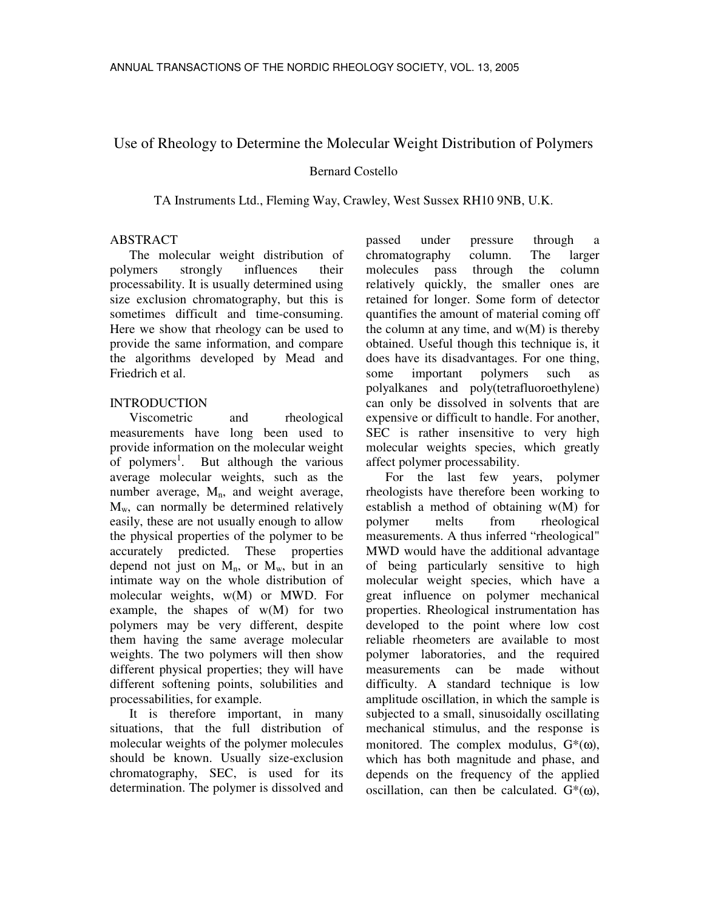# Use of Rheology to Determine the Molecular Weight Distribution of Polymers

## Bernard Costello

TA Instruments Ltd., Fleming Way, Crawley, West Sussex RH10 9NB, U.K.

### ABSTRACT

The molecular weight distribution of polymers strongly influences their processability. It is usually determined using size exclusion chromatography, but this is sometimes difficult and time-consuming. Here we show that rheology can be used to provide the same information, and compare the algorithms developed by Mead and Friedrich et al.

## INTRODUCTION

Viscometric and rheological measurements have long been used to provide information on the molecular weight of polymers<sup>1</sup>. But although the various average molecular weights, such as the number average,  $M_n$ , and weight average,  $M_w$ , can normally be determined relatively easily, these are not usually enough to allow the physical properties of the polymer to be accurately predicted. These properties depend not just on  $M_n$ , or  $M_w$ , but in an intimate way on the whole distribution of molecular weights, w(M) or MWD. For example, the shapes of  $w(M)$  for two polymers may be very different, despite them having the same average molecular weights. The two polymers will then show different physical properties; they will have different softening points, solubilities and processabilities, for example.

It is therefore important, in many situations, that the full distribution of molecular weights of the polymer molecules should be known. Usually size-exclusion chromatography, SEC, is used for its determination. The polymer is dissolved and passed under pressure through a chromatography column. The larger molecules pass through the column relatively quickly, the smaller ones are retained for longer. Some form of detector quantifies the amount of material coming off the column at any time, and  $w(M)$  is thereby obtained. Useful though this technique is, it does have its disadvantages. For one thing, some important polymers such as polyalkanes and poly(tetrafluoroethylene) can only be dissolved in solvents that are expensive or difficult to handle. For another, SEC is rather insensitive to very high molecular weights species, which greatly affect polymer processability.

For the last few years, polymer rheologists have therefore been working to establish a method of obtaining w(M) for polymer melts from rheological measurements. A thus inferred "rheological" MWD would have the additional advantage of being particularly sensitive to high molecular weight species, which have a great influence on polymer mechanical properties. Rheological instrumentation has developed to the point where low cost reliable rheometers are available to most polymer laboratories, and the required measurements can be made without difficulty. A standard technique is low amplitude oscillation, in which the sample is subjected to a small, sinusoidally oscillating mechanical stimulus, and the response is monitored. The complex modulus,  $G^*(\omega)$ , which has both magnitude and phase, and depends on the frequency of the applied oscillation, can then be calculated.  $G^*(\omega)$ ,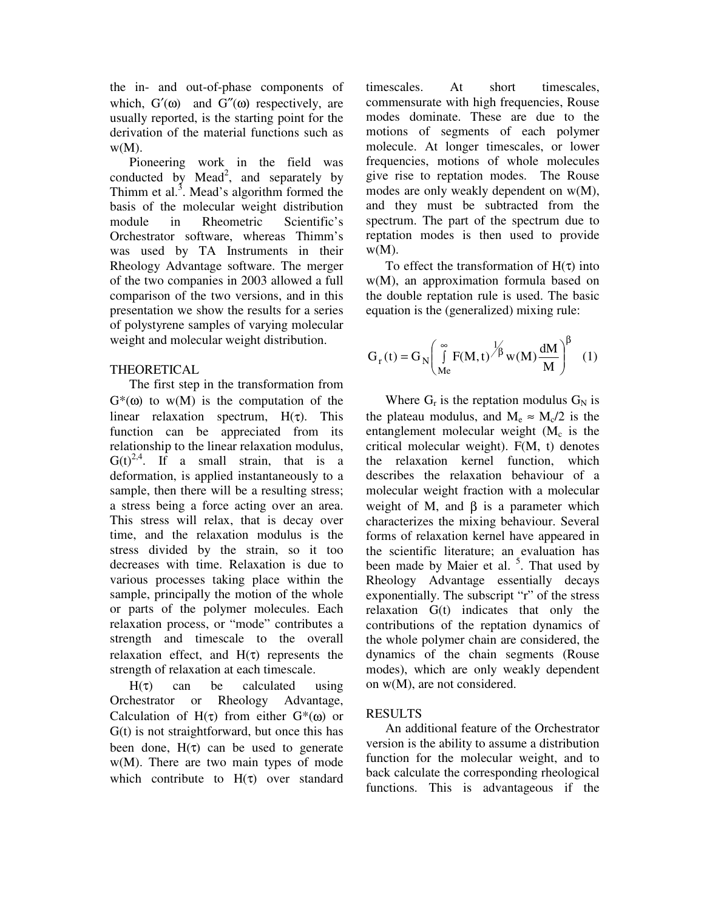the in- and out-of-phase components of which,  $G'(\omega)$  and  $G''(\omega)$  respectively, are usually reported, is the starting point for the derivation of the material functions such as  $w(M)$ .

Pioneering work in the field was conducted by Mead<sup>2</sup>, and separately by Thimm et al.<sup>3</sup>. Mead's algorithm formed the basis of the molecular weight distribution module in Rheometric Scientific's Orchestrator software, whereas Thimm's was used by TA Instruments in their Rheology Advantage software. The merger of the two companies in 2003 allowed a full comparison of the two versions, and in this presentation we show the results for a series of polystyrene samples of varying molecular weight and molecular weight distribution.

## THEORETICAL

The first step in the transformation from  $G^*(\omega)$  to w(M) is the computation of the linear relaxation spectrum,  $H(\tau)$ . This function can be appreciated from its relationship to the linear relaxation modulus,  $G(t)^{2,4}$ . If a small strain, that is a deformation, is applied instantaneously to a sample, then there will be a resulting stress; a stress being a force acting over an area. This stress will relax, that is decay over time, and the relaxation modulus is the stress divided by the strain, so it too decreases with time. Relaxation is due to various processes taking place within the sample, principally the motion of the whole or parts of the polymer molecules. Each relaxation process, or "mode" contributes a strength and timescale to the overall relaxation effect, and  $H(\tau)$  represents the strength of relaxation at each timescale.

 $H(\tau)$  can be calculated using Orchestrator or Rheology Advantage, Calculation of  $H(\tau)$  from either  $G^*(\omega)$  or G(t) is not straightforward, but once this has been done,  $H(\tau)$  can be used to generate w(M). There are two main types of mode which contribute to  $H(\tau)$  over standard timescales. At short timescales, commensurate with high frequencies, Rouse modes dominate. These are due to the motions of segments of each polymer molecule. At longer timescales, or lower frequencies, motions of whole molecules give rise to reptation modes. The Rouse modes are only weakly dependent on w(M), and they must be subtracted from the spectrum. The part of the spectrum due to reptation modes is then used to provide  $W(M)$ .

To effect the transformation of  $H(\tau)$  into w(M), an approximation formula based on the double reptation rule is used. The basic equation is the (generalized) mixing rule:

$$
G_{r}(t) = G_{N} \left( \int_{Me}^{\infty} F(M, t) \frac{1}{\beta} w(M) \frac{dM}{M} \right)^{\beta} (1)
$$

Where  $G_r$  is the reptation modulus  $G_N$  is the plateau modulus, and  $M_e \approx M_c/2$  is the entanglement molecular weight  $(M_c)$  is the critical molecular weight). F(M, t) denotes the relaxation kernel function, which describes the relaxation behaviour of a molecular weight fraction with a molecular weight of M, and  $\beta$  is a parameter which characterizes the mixing behaviour. Several forms of relaxation kernel have appeared in the scientific literature; an evaluation has been made by Maier et al. <sup>5</sup>. That used by Rheology Advantage essentially decays exponentially. The subscript "r" of the stress relaxation G(t) indicates that only the contributions of the reptation dynamics of the whole polymer chain are considered, the dynamics of the chain segments (Rouse modes), which are only weakly dependent on w(M), are not considered.

# RESULTS

An additional feature of the Orchestrator version is the ability to assume a distribution function for the molecular weight, and to back calculate the corresponding rheological functions. This is advantageous if the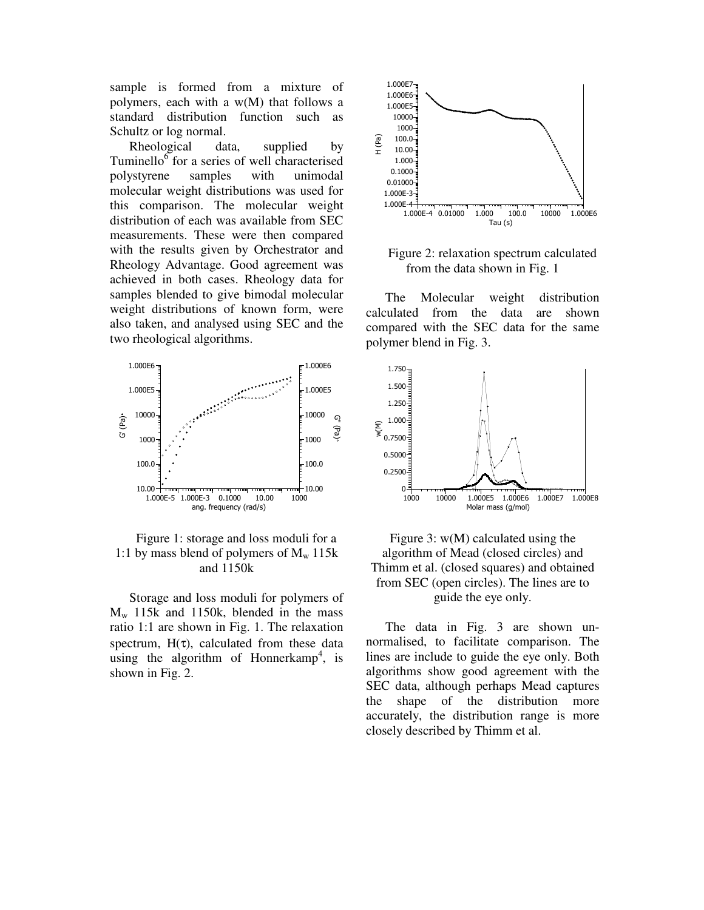sample is formed from a mixture of polymers, each with a w(M) that follows a standard distribution function such as Schultz or log normal.

Rheological data, supplied by Tuminello<sup>6</sup> for a series of well characterised polystyrene samples with unimodal molecular weight distributions was used for this comparison. The molecular weight distribution of each was available from SEC measurements. These were then compared with the results given by Orchestrator and Rheology Advantage. Good agreement was achieved in both cases. Rheology data for samples blended to give bimodal molecular weight distributions of known form, were also taken, and analysed using SEC and the two rheological algorithms.



## Figure 1: storage and loss moduli for a 1:1 by mass blend of polymers of  $M_w$  115k and 1150k

Storage and loss moduli for polymers of  $M_w$  115k and 1150k, blended in the mass ratio 1:1 are shown in Fig. 1. The relaxation spectrum,  $H(\tau)$ , calculated from these data using the algorithm of Honnerkamp<sup>4</sup>, is shown in Fig. 2.



Figure 2: relaxation spectrum calculated from the data shown in Fig. 1

The Molecular weight distribution calculated from the data are shown compared with the SEC data for the same polymer blend in Fig. 3.





The data in Fig. 3 are shown unnormalised, to facilitate comparison. The lines are include to guide the eye only. Both algorithms show good agreement with the SEC data, although perhaps Mead captures the shape of the distribution more accurately, the distribution range is more closely described by Thimm et al.